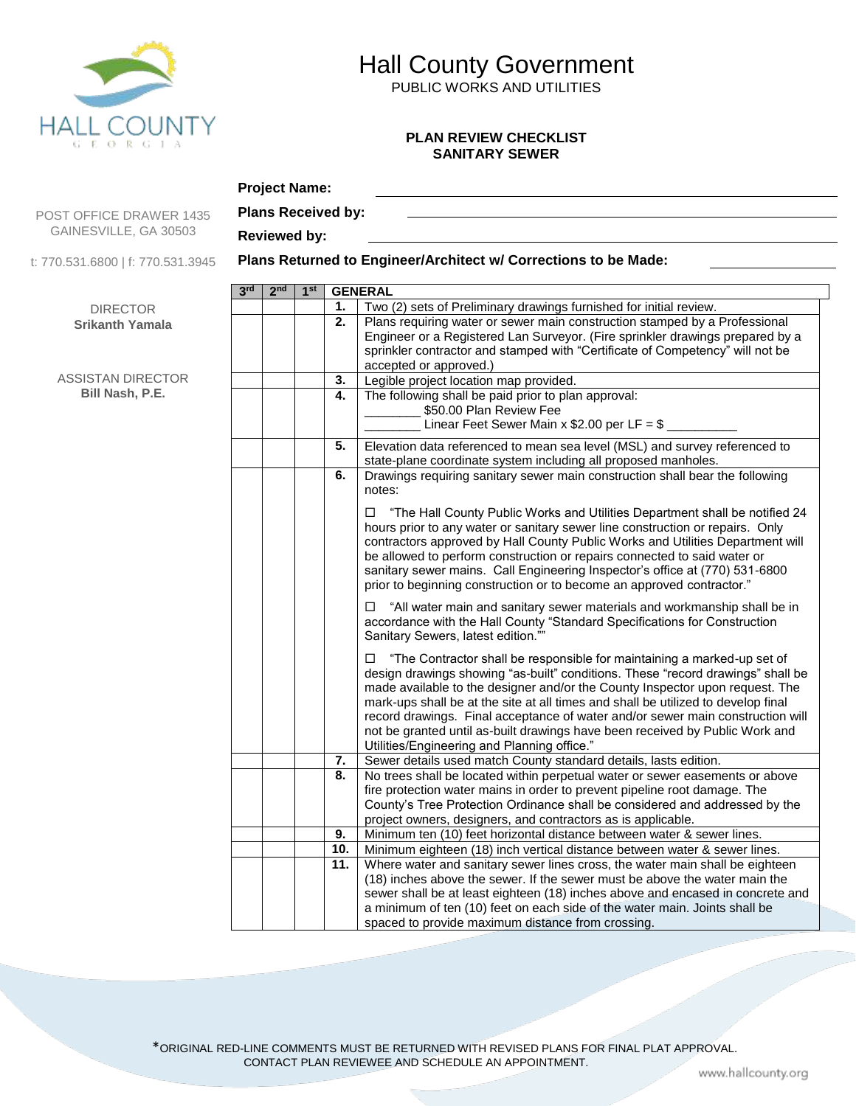

# Hall County Government

PUBLIC WORKS AND UTILITIES

#### **PLAN REVIEW CHECKLIST SANITARY SEWER**

### POST OFFICE DRAWER 1435 GAINESVILLE, GA 30503

**Project Name:**

t: 770.531.6800 | f: 770.531.3945

DIRECTOR **Srikanth Yamala**

ASSISTAN DIRECTOR **Bill Nash, P.E.**

### **Plans Received by: Reviewed by:**

#### **Plans Returned to Engineer/Architect w/ Corrections to be Made:**

| 3rd | 2 <sub>nd</sub> | 1 <sup>st</sup> |            | <b>GENERAL</b>                                                                                                                                                                                                                                                                                                                                                                                                                                                                                                                                   |
|-----|-----------------|-----------------|------------|--------------------------------------------------------------------------------------------------------------------------------------------------------------------------------------------------------------------------------------------------------------------------------------------------------------------------------------------------------------------------------------------------------------------------------------------------------------------------------------------------------------------------------------------------|
|     |                 |                 | 1.         | Two (2) sets of Preliminary drawings furnished for initial review.                                                                                                                                                                                                                                                                                                                                                                                                                                                                               |
|     |                 |                 | 2.         | Plans requiring water or sewer main construction stamped by a Professional<br>Engineer or a Registered Lan Surveyor. (Fire sprinkler drawings prepared by a<br>sprinkler contractor and stamped with "Certificate of Competency" will not be<br>accepted or approved.)                                                                                                                                                                                                                                                                           |
|     |                 |                 | 3.         | Legible project location map provided.                                                                                                                                                                                                                                                                                                                                                                                                                                                                                                           |
|     |                 |                 | 4.         | The following shall be paid prior to plan approval:<br>\$50.00 Plan Review Fee<br>Linear Feet Sewer Main x \$2.00 per LF = $$$                                                                                                                                                                                                                                                                                                                                                                                                                   |
|     |                 |                 | 5.         | Elevation data referenced to mean sea level (MSL) and survey referenced to<br>state-plane coordinate system including all proposed manholes.                                                                                                                                                                                                                                                                                                                                                                                                     |
|     |                 |                 | 6.         | Drawings requiring sanitary sewer main construction shall bear the following<br>notes:                                                                                                                                                                                                                                                                                                                                                                                                                                                           |
|     |                 |                 |            | "The Hall County Public Works and Utilities Department shall be notified 24<br>□<br>hours prior to any water or sanitary sewer line construction or repairs. Only<br>contractors approved by Hall County Public Works and Utilities Department will<br>be allowed to perform construction or repairs connected to said water or<br>sanitary sewer mains. Call Engineering Inspector's office at (770) 531-6800<br>prior to beginning construction or to become an approved contractor."                                                          |
|     |                 |                 |            | "All water main and sanitary sewer materials and workmanship shall be in<br>accordance with the Hall County "Standard Specifications for Construction<br>Sanitary Sewers, latest edition.""                                                                                                                                                                                                                                                                                                                                                      |
|     |                 |                 |            | "The Contractor shall be responsible for maintaining a marked-up set of<br>design drawings showing "as-built" conditions. These "record drawings" shall be<br>made available to the designer and/or the County Inspector upon request. The<br>mark-ups shall be at the site at all times and shall be utilized to develop final<br>record drawings. Final acceptance of water and/or sewer main construction will<br>not be granted until as-built drawings have been received by Public Work and<br>Utilities/Engineering and Planning office." |
|     |                 |                 | 7.         | Sewer details used match County standard details, lasts edition.                                                                                                                                                                                                                                                                                                                                                                                                                                                                                 |
|     |                 |                 | 8.         | No trees shall be located within perpetual water or sewer easements or above<br>fire protection water mains in order to prevent pipeline root damage. The<br>County's Tree Protection Ordinance shall be considered and addressed by the<br>project owners, designers, and contractors as is applicable.                                                                                                                                                                                                                                         |
|     |                 |                 | 9.         | Minimum ten (10) feet horizontal distance between water & sewer lines.                                                                                                                                                                                                                                                                                                                                                                                                                                                                           |
|     |                 |                 | 10.<br>11. | Minimum eighteen (18) inch vertical distance between water & sewer lines.                                                                                                                                                                                                                                                                                                                                                                                                                                                                        |
|     |                 |                 |            | Where water and sanitary sewer lines cross, the water main shall be eighteen<br>(18) inches above the sewer. If the sewer must be above the water main the<br>sewer shall be at least eighteen (18) inches above and encased in concrete and<br>a minimum of ten (10) feet on each side of the water main. Joints shall be                                                                                                                                                                                                                       |
|     |                 |                 |            | spaced to provide maximum distance from crossing.                                                                                                                                                                                                                                                                                                                                                                                                                                                                                                |

\*ORIGINAL RED-LINE COMMENTS MUST BE RETURNED WITH REVISED PLANS FOR FINAL PLAT APPROVAL. CONTACT PLAN REVIEWEE AND SCHEDULE AN APPOINTMENT.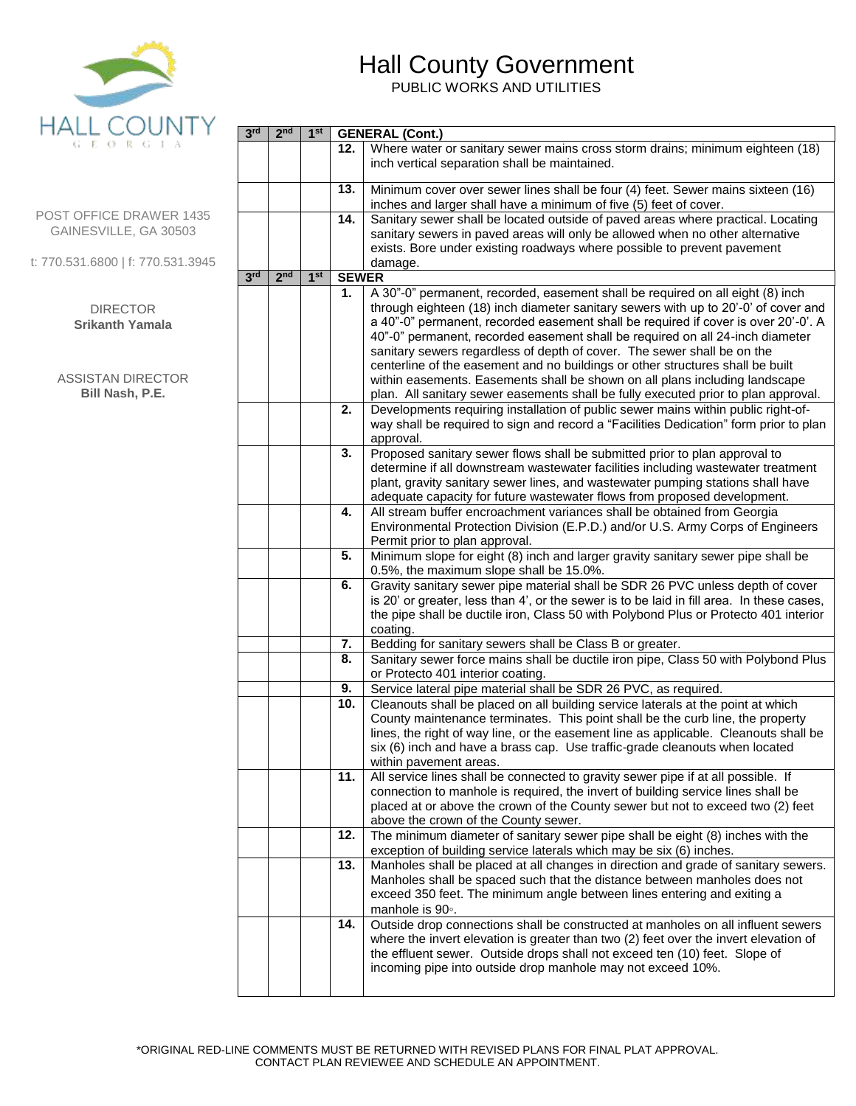

**3 rd 2**

 $2^{nd}$  | 1<sup>st</sup>

**st GENERAL (Cont.)**

## Hall County Government

PUBLIC WORKS AND UTILITIES

| GEORGIA                                          |                 |                 |                 | 12.          | Where water or sanitary sewer mains cross storm drains; minimum eighteen (18)<br>inch vertical separation shall be maintained.                                                                                                                                                                                                                                                                                                                                                                           |
|--------------------------------------------------|-----------------|-----------------|-----------------|--------------|----------------------------------------------------------------------------------------------------------------------------------------------------------------------------------------------------------------------------------------------------------------------------------------------------------------------------------------------------------------------------------------------------------------------------------------------------------------------------------------------------------|
| POST OFFICE DRAWER 1435<br>GAINESVILLE, GA 30503 |                 |                 |                 | 13.<br>14.   | Minimum cover over sewer lines shall be four (4) feet. Sewer mains sixteen (16)<br>inches and larger shall have a minimum of five (5) feet of cover.<br>Sanitary sewer shall be located outside of paved areas where practical. Locating<br>sanitary sewers in paved areas will only be allowed when no other alternative                                                                                                                                                                                |
| t: 770.531.6800   f: 770.531.3945                |                 |                 |                 |              | exists. Bore under existing roadways where possible to prevent pavement<br>damage.                                                                                                                                                                                                                                                                                                                                                                                                                       |
|                                                  | 3 <sup>rd</sup> | 2 <sub>nd</sub> | 1 <sup>st</sup> | <b>SEWER</b> |                                                                                                                                                                                                                                                                                                                                                                                                                                                                                                          |
| <b>DIRECTOR</b><br><b>Srikanth Yamala</b>        |                 |                 |                 | 1.           | A 30"-0" permanent, recorded, easement shall be required on all eight (8) inch<br>through eighteen (18) inch diameter sanitary sewers with up to 20'-0' of cover and<br>a 40"-0" permanent, recorded easement shall be required if cover is over 20'-0'. A<br>40"-0" permanent, recorded easement shall be required on all 24-inch diameter<br>sanitary sewers regardless of depth of cover. The sewer shall be on the<br>centerline of the easement and no buildings or other structures shall be built |
| <b>ASSISTAN DIRECTOR</b><br>Bill Nash, P.E.      |                 |                 |                 |              | within easements. Easements shall be shown on all plans including landscape<br>plan. All sanitary sewer easements shall be fully executed prior to plan approval.                                                                                                                                                                                                                                                                                                                                        |
|                                                  |                 |                 | 2.              |              | Developments requiring installation of public sewer mains within public right-of-<br>way shall be required to sign and record a "Facilities Dedication" form prior to plan<br>approval.                                                                                                                                                                                                                                                                                                                  |
|                                                  |                 |                 | 3.              |              | Proposed sanitary sewer flows shall be submitted prior to plan approval to<br>determine if all downstream wastewater facilities including wastewater treatment<br>plant, gravity sanitary sewer lines, and wastewater pumping stations shall have<br>adequate capacity for future wastewater flows from proposed development.                                                                                                                                                                            |
|                                                  |                 |                 | 4.              |              | All stream buffer encroachment variances shall be obtained from Georgia<br>Environmental Protection Division (E.P.D.) and/or U.S. Army Corps of Engineers<br>Permit prior to plan approval.                                                                                                                                                                                                                                                                                                              |
|                                                  |                 |                 | 5.              |              | Minimum slope for eight (8) inch and larger gravity sanitary sewer pipe shall be<br>0.5%, the maximum slope shall be 15.0%.                                                                                                                                                                                                                                                                                                                                                                              |
|                                                  |                 |                 | 6.              |              | Gravity sanitary sewer pipe material shall be SDR 26 PVC unless depth of cover<br>is 20' or greater, less than 4', or the sewer is to be laid in fill area. In these cases,<br>the pipe shall be ductile iron, Class 50 with Polybond Plus or Protecto 401 interior<br>coating.                                                                                                                                                                                                                          |
|                                                  |                 |                 | 7.              |              | Bedding for sanitary sewers shall be Class B or greater.                                                                                                                                                                                                                                                                                                                                                                                                                                                 |
|                                                  |                 |                 | 8.              |              | Sanitary sewer force mains shall be ductile iron pipe, Class 50 with Polybond Plus<br>or Protecto 401 interior coating.                                                                                                                                                                                                                                                                                                                                                                                  |
|                                                  |                 |                 | 9.              |              | Service lateral pipe material shall be SDR 26 PVC, as required.                                                                                                                                                                                                                                                                                                                                                                                                                                          |
|                                                  |                 |                 |                 | 10.          | Cleanouts shall be placed on all building service laterals at the point at which<br>County maintenance terminates. This point shall be the curb line, the property<br>lines, the right of way line, or the easement line as applicable. Cleanouts shall be<br>six (6) inch and have a brass cap. Use traffic-grade cleanouts when located<br>within pavement areas.                                                                                                                                      |
|                                                  |                 |                 |                 | 11.          | All service lines shall be connected to gravity sewer pipe if at all possible. If<br>connection to manhole is required, the invert of building service lines shall be<br>placed at or above the crown of the County sewer but not to exceed two (2) feet<br>above the crown of the County sewer.                                                                                                                                                                                                         |
|                                                  |                 |                 |                 | 12.          | The minimum diameter of sanitary sewer pipe shall be eight (8) inches with the<br>exception of building service laterals which may be six (6) inches.                                                                                                                                                                                                                                                                                                                                                    |
|                                                  |                 |                 |                 | 13.          | Manholes shall be placed at all changes in direction and grade of sanitary sewers.<br>Manholes shall be spaced such that the distance between manholes does not<br>exceed 350 feet. The minimum angle between lines entering and exiting a<br>manhole is 90°.                                                                                                                                                                                                                                            |
|                                                  |                 |                 |                 | 14.          | Outside drop connections shall be constructed at manholes on all influent sewers<br>where the invert elevation is greater than two (2) feet over the invert elevation of<br>the effluent sewer. Outside drops shall not exceed ten (10) feet. Slope of<br>incoming pipe into outside drop manhole may not exceed 10%.                                                                                                                                                                                    |